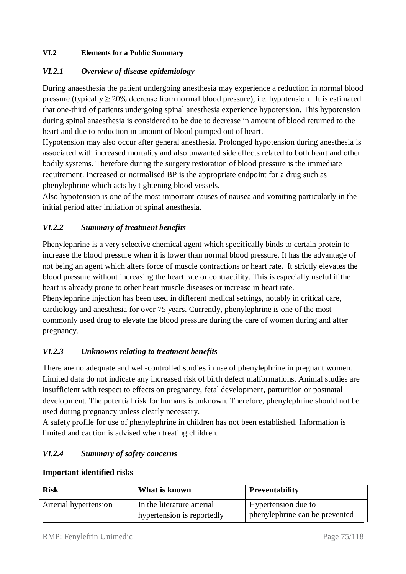# **VI.2 Elements for a Public Summary**

# *VI.2.1 Overview of disease epidemiology*

During anaesthesia the patient undergoing anesthesia may experience a reduction in normal blood pressure (typically  $> 20\%$  decrease from normal blood pressure), i.e. hypotension. It is estimated that one-third of patients undergoing spinal anesthesia experience hypotension. This hypotension during spinal anaesthesia is considered to be due to decrease in amount of blood returned to the heart and due to reduction in amount of blood pumped out of heart.

Hypotension may also occur after general anesthesia. Prolonged hypotension during anesthesia is associated with increased mortality and also unwanted side effects related to both heart and other bodily systems. Therefore during the surgery restoration of blood pressure is the immediate requirement. Increased or normalised BP is the appropriate endpoint for a drug such as phenylephrine which acts by tightening blood vessels.

Also hypotension is one of the most important causes of nausea and vomiting particularly in the initial period after initiation of spinal anesthesia.

# *VI.2.2 Summary of treatment benefits*

Phenylephrine is a very selective chemical agent which specifically binds to certain protein to increase the blood pressure when it is lower than normal blood pressure. It has the advantage of not being an agent which alters force of muscle contractions or heart rate. It strictly elevates the blood pressure without increasing the heart rate or contractility. This is especially useful if the heart is already prone to other heart muscle diseases or increase in heart rate. Phenylephrine injection has been used in different medical settings, notably in critical care, cardiology and anesthesia for over 75 years. Currently, phenylephrine is one of the most commonly used drug to elevate the blood pressure during the care of women during and after pregnancy.

# *VI.2.3 Unknowns relating to treatment benefits*

There are no adequate and well-controlled studies in use of phenylephrine in pregnant women. Limited data do not indicate any increased risk of birth defect malformations. Animal studies are insufficient with respect to effects on pregnancy, fetal development, parturition or postnatal development. The potential risk for humans is unknown. Therefore, phenylephrine should not be used during pregnancy unless clearly necessary.

A safety profile for use of phenylephrine in children has not been established. Information is limited and caution is advised when treating children.

### *VI.2.4 Summary of safety concerns*

| <b>Risk</b>           | What is known              | <b>Preventability</b>          |
|-----------------------|----------------------------|--------------------------------|
| Arterial hypertension | In the literature arterial | I Hypertension due to          |
|                       | hypertension is reportedly | phenylephrine can be prevented |

#### **Important identified risks**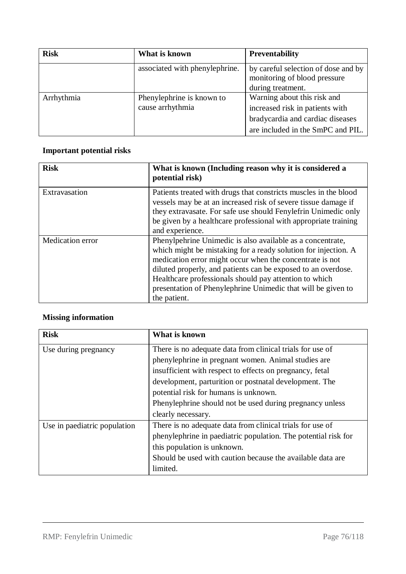| <b>Risk</b> | What is known                  | <b>Preventability</b>                                               |
|-------------|--------------------------------|---------------------------------------------------------------------|
|             | associated with phenylephrine. | by careful selection of dose and by<br>monitoring of blood pressure |
|             |                                | during treatment.                                                   |
| Arrhythmia  | Phenylephrine is known to      | Warning about this risk and                                         |
|             | cause arrhythmia               | increased risk in patients with                                     |
|             |                                | bradycardia and cardiac diseases                                    |
|             |                                | are included in the SmPC and PIL.                                   |

# **Important potential risks**

| <b>Risk</b>             | What is known (Including reason why it is considered a<br>potential risk)                                                                                                                                                                                                                                                                                                                           |
|-------------------------|-----------------------------------------------------------------------------------------------------------------------------------------------------------------------------------------------------------------------------------------------------------------------------------------------------------------------------------------------------------------------------------------------------|
| Extravasation           | Patients treated with drugs that constricts muscles in the blood<br>vessels may be at an increased risk of severe tissue damage if<br>they extravasate. For safe use should Fenylefrin Unimedic only<br>be given by a healthcare professional with appropriate training<br>and experience.                                                                                                          |
| <b>Medication</b> error | Phenylpehrine Unimedic is also available as a concentrate,<br>which might be mistaking for a ready solution for injection. A<br>medication error might occur when the concentrate is not<br>diluted properly, and patients can be exposed to an overdose.<br>Healthcare professionals should pay attention to which<br>presentation of Phenylephrine Unimedic that will be given to<br>the patient. |

# **Missing information**

| <b>Risk</b>                  | What is known                                                  |  |
|------------------------------|----------------------------------------------------------------|--|
| Use during pregnancy         | There is no adequate data from clinical trials for use of      |  |
|                              | phenylephrine in pregnant women. Animal studies are            |  |
|                              | insufficient with respect to effects on pregnancy, fetal       |  |
|                              | development, parturition or postnatal development. The         |  |
|                              | potential risk for humans is unknown.                          |  |
|                              | Phenylephrine should not be used during pregnancy unless       |  |
|                              | clearly necessary.                                             |  |
| Use in paediatric population | There is no adequate data from clinical trials for use of      |  |
|                              | phenylephrine in paediatric population. The potential risk for |  |
|                              | this population is unknown.                                    |  |
|                              | Should be used with caution because the available data are     |  |
|                              | limited.                                                       |  |